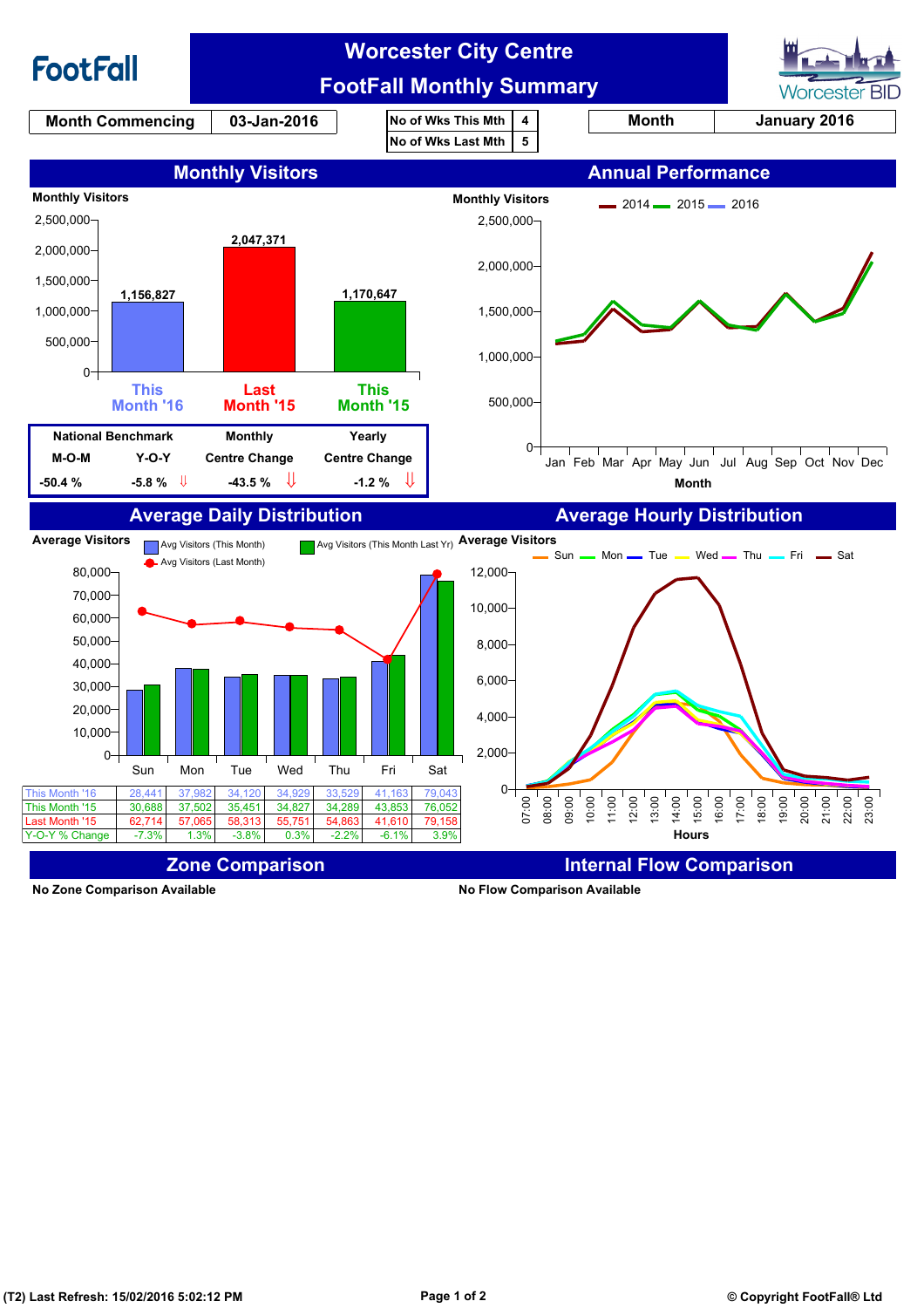

**No Zone Comparison Available No Flow Comparison Available**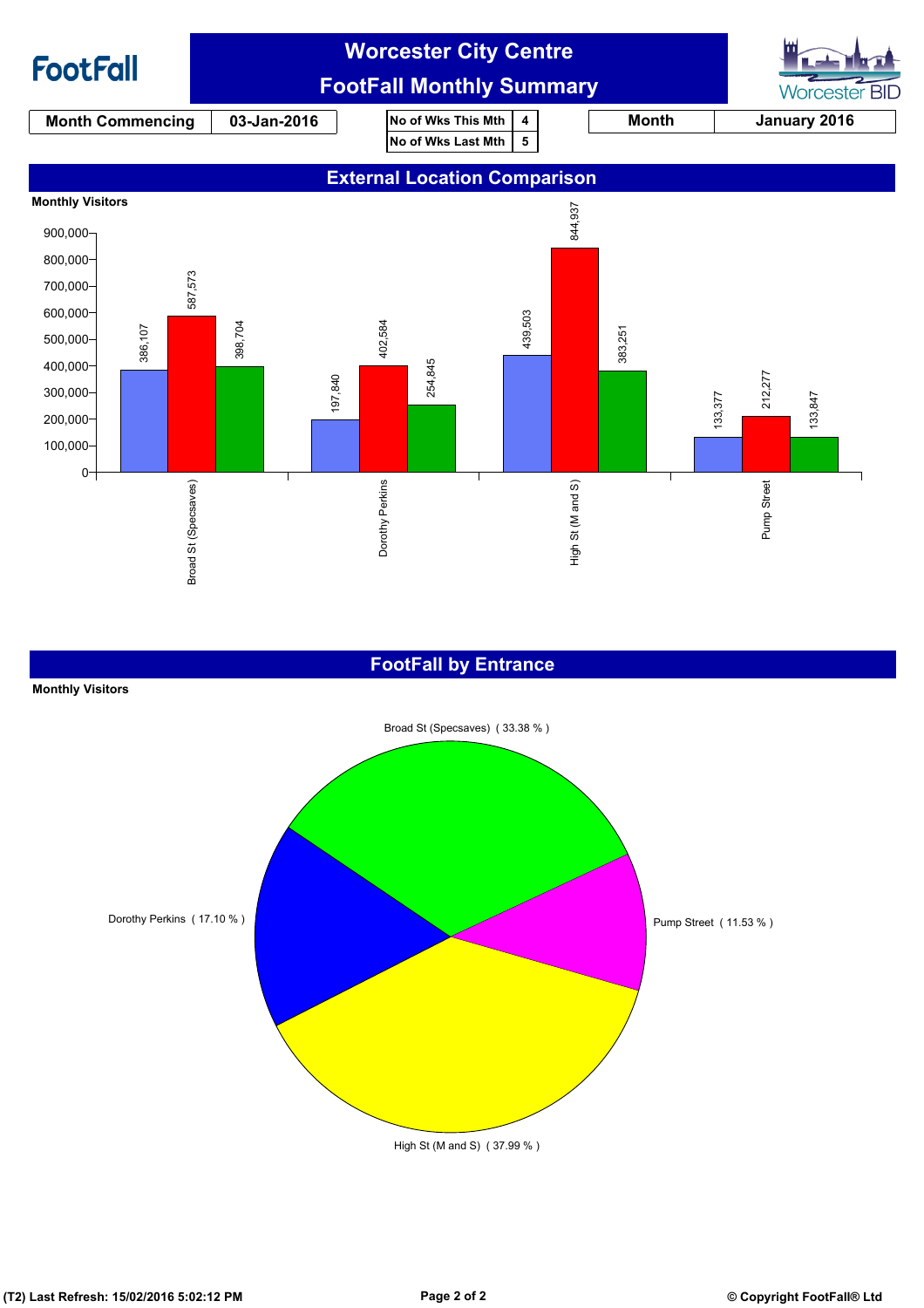

## **FootFall by Entrance**

## Broad St (Specsaves) ( 33.38 % ) Dorothy Perkins ( 17.10 % ) High St (M and S) ( 37.99 % ) Pump Street ( 11.53 % ) **Monthly Visitors**